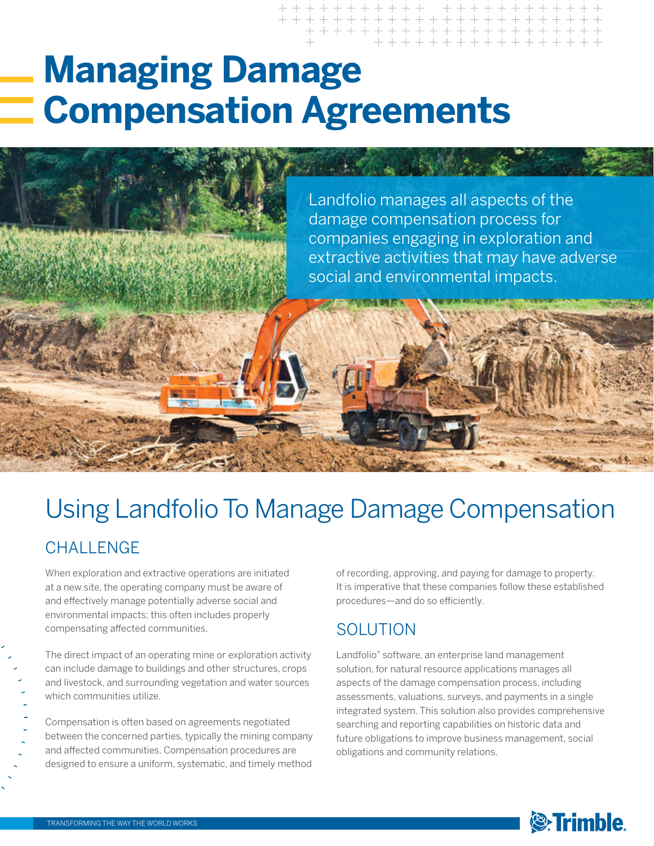# **Managing Damage Compensation Agreements**

Landfolio manages all aspects of the damage compensation process for companies engaging in exploration and extractive activities that may have adverse social and environmental impacts.

# **CHALLENGE** Using Landfolio To Manage Damage Compensation

When exploration and extractive operations are initiated at a new site, the operating company must be aware of and effectively manage potentially adverse social and environmental impacts; this often includes properly compensating affected communities.

The direct impact of an operating mine or exploration activity can include damage to buildings and other structures, crops and livestock, and surrounding vegetation and water sources which communities utilize.

Compensation is often based on agreements negotiated between the concerned parties, typically the mining company and affected communities. Compensation procedures are designed to ensure a uniform, systematic, and timely method

of recording, approving, and paying for damage to property. It is imperative that these companies follow these established procedures—and do so efficiently.

### SOLUTION

Landfolio® software, an enterprise land management solution, for natural resource applications manages all aspects of the damage compensation process, including assessments, valuations, surveys, and payments in a single integrated system. This solution also provides comprehensive searching and reporting capabilities on historic data and future obligations to improve business management, social obligations and community relations.